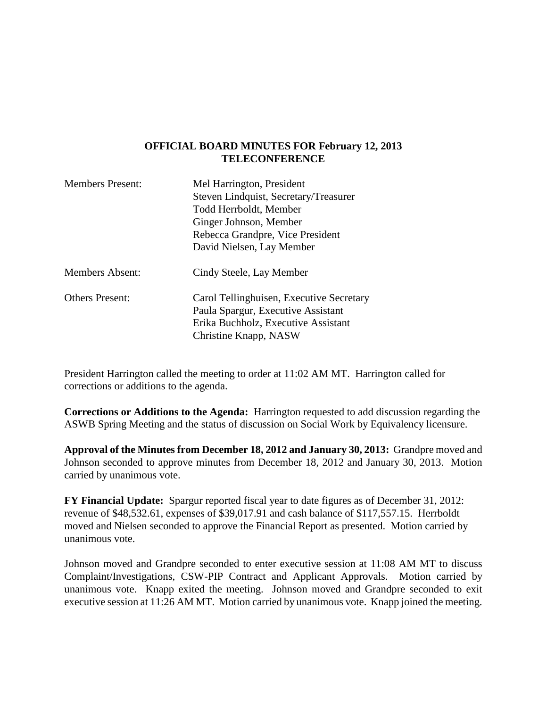### **OFFICIAL BOARD MINUTES FOR February 12, 2013 TELECONFERENCE**

| <b>Members Present:</b> | Mel Harrington, President                |
|-------------------------|------------------------------------------|
|                         | Steven Lindquist, Secretary/Treasurer    |
|                         | Todd Herrboldt, Member                   |
|                         | Ginger Johnson, Member                   |
|                         | Rebecca Grandpre, Vice President         |
|                         | David Nielsen, Lay Member                |
| <b>Members Absent:</b>  | Cindy Steele, Lay Member                 |
| <b>Others Present:</b>  | Carol Tellinghuisen, Executive Secretary |
|                         | Paula Spargur, Executive Assistant       |
|                         | Erika Buchholz, Executive Assistant      |
|                         | Christine Knapp, NASW                    |

President Harrington called the meeting to order at 11:02 AM MT. Harrington called for corrections or additions to the agenda.

**Corrections or Additions to the Agenda:** Harrington requested to add discussion regarding the ASWB Spring Meeting and the status of discussion on Social Work by Equivalency licensure.

**Approval of the Minutes from December 18, 2012 and January 30, 2013:** Grandpre moved and Johnson seconded to approve minutes from December 18, 2012 and January 30, 2013. Motion carried by unanimous vote.

**FY Financial Update:** Spargur reported fiscal year to date figures as of December 31, 2012: revenue of \$48,532.61, expenses of \$39,017.91 and cash balance of \$117,557.15. Herrboldt moved and Nielsen seconded to approve the Financial Report as presented. Motion carried by unanimous vote.

Johnson moved and Grandpre seconded to enter executive session at 11:08 AM MT to discuss Complaint/Investigations, CSW-PIP Contract and Applicant Approvals. Motion carried by unanimous vote. Knapp exited the meeting. Johnson moved and Grandpre seconded to exit executive session at 11:26 AM MT. Motion carried by unanimous vote. Knapp joined the meeting.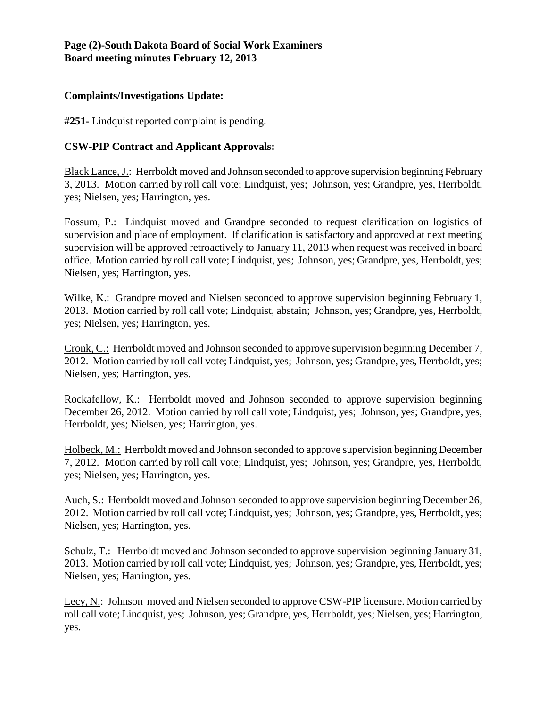## **Page (2)-South Dakota Board of Social Work Examiners Board meeting minutes February 12, 2013**

## **Complaints/Investigations Update:**

**#251-** Lindquist reported complaint is pending.

# **CSW-PIP Contract and Applicant Approvals:**

Black Lance, J.: Herrboldt moved and Johnson seconded to approve supervision beginning February 3, 2013. Motion carried by roll call vote; Lindquist, yes; Johnson, yes; Grandpre, yes, Herrboldt, yes; Nielsen, yes; Harrington, yes.

Fossum, P.: Lindquist moved and Grandpre seconded to request clarification on logistics of supervision and place of employment. If clarification is satisfactory and approved at next meeting supervision will be approved retroactively to January 11, 2013 when request was received in board office. Motion carried by roll call vote; Lindquist, yes; Johnson, yes; Grandpre, yes, Herrboldt, yes; Nielsen, yes; Harrington, yes.

Wilke, K.: Grandpre moved and Nielsen seconded to approve supervision beginning February 1, 2013. Motion carried by roll call vote; Lindquist, abstain; Johnson, yes; Grandpre, yes, Herrboldt, yes; Nielsen, yes; Harrington, yes.

Cronk, C.: Herrboldt moved and Johnson seconded to approve supervision beginning December 7, 2012. Motion carried by roll call vote; Lindquist, yes; Johnson, yes; Grandpre, yes, Herrboldt, yes; Nielsen, yes; Harrington, yes.

Rockafellow, K.: Herrboldt moved and Johnson seconded to approve supervision beginning December 26, 2012. Motion carried by roll call vote; Lindquist, yes; Johnson, yes; Grandpre, yes, Herrboldt, yes; Nielsen, yes; Harrington, yes.

Holbeck, M.: Herrboldt moved and Johnson seconded to approve supervision beginning December 7, 2012. Motion carried by roll call vote; Lindquist, yes; Johnson, yes; Grandpre, yes, Herrboldt, yes; Nielsen, yes; Harrington, yes.

Auch, S.: Herrboldt moved and Johnson seconded to approve supervision beginning December 26, 2012. Motion carried by roll call vote; Lindquist, yes; Johnson, yes; Grandpre, yes, Herrboldt, yes; Nielsen, yes; Harrington, yes.

Schulz, T.: Herrboldt moved and Johnson seconded to approve supervision beginning January 31, 2013. Motion carried by roll call vote; Lindquist, yes; Johnson, yes; Grandpre, yes, Herrboldt, yes; Nielsen, yes; Harrington, yes.

Lecy, N.: Johnson moved and Nielsen seconded to approve CSW-PIP licensure. Motion carried by roll call vote; Lindquist, yes; Johnson, yes; Grandpre, yes, Herrboldt, yes; Nielsen, yes; Harrington, yes.